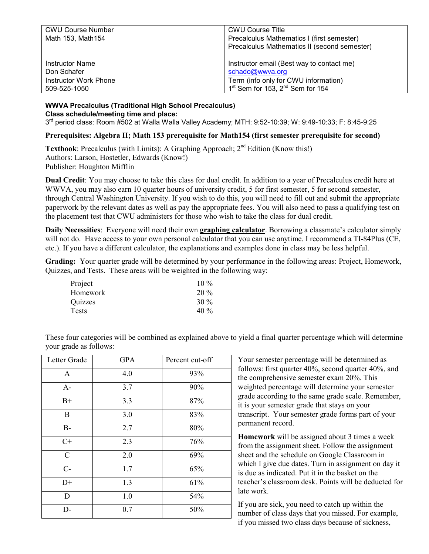| <b>CWU Course Number</b><br>Math 153, Math 154 | <b>CWU Course Title</b><br>Precalculus Mathematics I (first semester)<br>Precalculus Mathematics II (second semester) |
|------------------------------------------------|-----------------------------------------------------------------------------------------------------------------------|
| Instructor Name                                | Instructor email (Best way to contact me)                                                                             |
| Don Schafer                                    | schado@wwva.org                                                                                                       |
| Instructor Work Phone                          | Term (info only for CWU information)                                                                                  |
| 509-525-1050                                   | $1st$ Sem for 153, $2nd$ Sem for 154                                                                                  |

#### **WWVA Precalculus (Traditional High School Precalculus)**

**Class schedule/meeting time and place:**

 $3<sup>rd</sup>$  period class: Room #502 at Walla Walla Valley Academy; MTH: 9:52-10:39; W: 9:49-10:33; F: 8:45-9:25

### **Prerequisites: Algebra II; Math 153 prerequisite for Math154 (first semester prerequisite for second)**

**Textbook:** Precalculus (with Limits): A Graphing Approach; 2<sup>nd</sup> Edition (Know this!) Authors: Larson, Hostetler, Edwards (Know!) Publisher: Houghton Mifflin

**Dual Credit**: You may choose to take this class for dual credit. In addition to a year of Precalculus credit here at WWVA, you may also earn 10 quarter hours of university credit, 5 for first semester, 5 for second semester, through Central Washington University. If you wish to do this, you will need to fill out and submit the appropriate paperwork by the relevant dates as well as pay the appropriate fees. You will also need to pass a qualifying test on the placement test that CWU administers for those who wish to take the class for dual credit.

**Daily Necessities**: Everyone will need their own **graphing calculator**. Borrowing a classmate's calculator simply will not do. Have access to your own personal calculator that you can use anytime. I recommend a TI-84Plus (CE, etc.). If you have a different calculator, the explanations and examples done in class may be less helpful.

**Grading:** Your quarter grade will be determined by your performance in the following areas: Project, Homework, Quizzes, and Tests. These areas will be weighted in the following way:

| $10\%$ |
|--------|
| 20%    |
| 30%    |
| 40 %   |
|        |

These four categories will be combined as explained above to yield a final quarter percentage which will determine your grade as follows:

| Letter Grade | <b>GPA</b> | Percent cut-off |
|--------------|------------|-----------------|
| A            | 4.0        | 93%             |
| $A-$         | 3.7        | 90%             |
| $B+$         | 3.3        | 87%             |
| B            | 3.0        | 83%             |
| $B-$         | 2.7        | 80%             |
| $C+$         | 2.3        | 76%             |
| $\mathbf C$  | 2.0        | 69%             |
| $C-$         | 1.7        | 65%             |
| $D+$         | 1.3        | 61%             |
| D            | 1.0        | 54%             |
| $D-$         | 0.7        | 50%             |

Your semester percentage will be determined as follows: first quarter 40%, second quarter 40%, and the comprehensive semester exam 20%. This weighted percentage will determine your semester grade according to the same grade scale. Remember, it is your semester grade that stays on your transcript. Your semester grade forms part of your permanent record.

**Homework** will be assigned about 3 times a week from the assignment sheet. Follow the assignment sheet and the schedule on Google Classroom in which I give due dates. Turn in assignment on day it is due as indicated. Put it in the basket on the teacher's classroom desk. Points will be deducted for late work.

If you are sick, you need to catch up within the number of class days that you missed. For example, if you missed two class days because of sickness,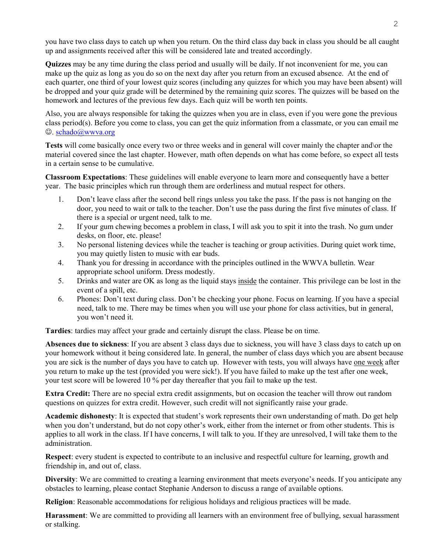you have two class days to catch up when you return. On the third class day back in class you should be all caught up and assignments received after this will be considered late and treated accordingly.

**Quizzes** may be any time during the class period and usually will be daily. If not inconvenient for me, you can make up the quiz as long as you do so on the next day after you return from an excused absence. At the end of each quarter, one third of your lowest quiz scores (including any quizzes for which you may have been absent) will be dropped and your quiz grade will be determined by the remaining quiz scores. The quizzes will be based on the homework and lectures of the previous few days. Each quiz will be worth ten points.

Also, you are always responsible for taking the quizzes when you are in class, even if you were gone the previous class period(s). Before you come to class, you can get the quiz information from a classmate, or you can email me  $\odot$ . [schado@wwva.org](mailto:schado@wwva.org)

**Tests** will come basically once every two or three weeks and in general will cover mainly the chapter and\or the material covered since the last chapter. However, math often depends on what has come before, so expect all tests in a certain sense to be cumulative.

**Classroom Expectations**: These guidelines will enable everyone to learn more and consequently have a better year. The basic principles which run through them are orderliness and mutual respect for others.

- 1. Don't leave class after the second bell rings unless you take the pass. If the pass is not hanging on the door, you need to wait or talk to the teacher. Don't use the pass during the first five minutes of class. If there is a special or urgent need, talk to me.
- 2. If your gum chewing becomes a problem in class, I will ask you to spit it into the trash. No gum under desks, on floor, etc. please!
- 3. No personal listening devices while the teacher is teaching or group activities. During quiet work time, you may quietly listen to music with ear buds.
- 4. Thank you for dressing in accordance with the principles outlined in the WWVA bulletin. Wear appropriate school uniform. Dress modestly.
- 5. Drinks and water are OK as long as the liquid stays inside the container. This privilege can be lost in the event of a spill, etc.
- 6. Phones: Don't text during class. Don't be checking your phone. Focus on learning. If you have a special need, talk to me. There may be times when you will use your phone for class activities, but in general, you won't need it.

**Tardies**: tardies may affect your grade and certainly disrupt the class. Please be on time.

**Absences due to sickness**: If you are absent 3 class days due to sickness, you will have 3 class days to catch up on your homework without it being considered late. In general, the number of class days which you are absent because you are sick is the number of days you have to catch up. However with tests, you will always have one week after you return to make up the test (provided you were sick!). If you have failed to make up the test after one week, your test score will be lowered 10 % per day thereafter that you fail to make up the test.

**Extra Credit:** There are no special extra credit assignments, but on occasion the teacher will throw out random questions on quizzes for extra credit. However, such credit will not significantly raise your grade.

**Academic dishonesty**: It is expected that student's work represents their own understanding of math. Do get help when you don't understand, but do not copy other's work, either from the internet or from other students. This is applies to all work in the class. If I have concerns, I will talk to you. If they are unresolved, I will take them to the administration.

**Respect**: every student is expected to contribute to an inclusive and respectful culture for learning, growth and friendship in, and out of, class.

**Diversity**: We are committed to creating a learning environment that meets everyone's needs. If you anticipate any obstacles to learning, please contact Stephanie Anderson to discuss a range of available options.

**Religion**: Reasonable accommodations for religious holidays and religious practices will be made.

**Harassment**: We are committed to providing all learners with an environment free of bullying, sexual harassment or stalking.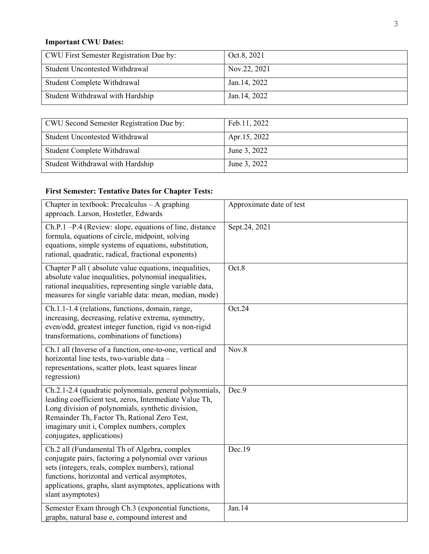## **Important CWU Dates:**

| CWU First Semester Registration Due by: | Oct.8, 2021   |
|-----------------------------------------|---------------|
| <b>Student Uncontested Withdrawal</b>   | Nov.22, 2021  |
| Student Complete Withdrawal             | Jan. 14, 2022 |
| Student Withdrawal with Hardship        | Jan. 14, 2022 |

| CWU Second Semester Registration Due by: | Feb.11, 2022  |
|------------------------------------------|---------------|
| <b>Student Uncontested Withdrawal</b>    | Apr. 15, 2022 |
| Student Complete Withdrawal              | June 3, 2022  |
| Student Withdrawal with Hardship         | June 3, 2022  |

# **First Semester: Tentative Dates for Chapter Tests:**

| Chapter in textbook: Precalculus $-$ A graphing<br>approach. Larson, Hostetler, Edwards                                                                                                                                                                                                            | Approximate date of test |
|----------------------------------------------------------------------------------------------------------------------------------------------------------------------------------------------------------------------------------------------------------------------------------------------------|--------------------------|
| Ch.P.1 -P.4 (Review: slope, equations of line, distance<br>formula, equations of circle, midpoint, solving<br>equations, simple systems of equations, substitution,<br>rational, quadratic, radical, fractional exponents)                                                                         | Sept.24, 2021            |
| Chapter P all (absolute value equations, inequalities,<br>absolute value inequalities, polynomial inequalities,<br>rational inequalities, representing single variable data,<br>measures for single variable data: mean, median, mode)                                                             | Oct.8                    |
| Ch.1.1-1.4 (relations, functions, domain, range,<br>increasing, decreasing, relative extrema, symmetry,<br>even/odd, greatest integer function, rigid vs non-rigid<br>transformations, combinations of functions)                                                                                  | Oct.24                   |
| Ch.1 all (Inverse of a function, one-to-one, vertical and<br>horizontal line tests, two-variable data -<br>representations, scatter plots, least squares linear<br>regression)                                                                                                                     | Nov.8                    |
| Ch.2.1-2.4 (quadratic polynomials, general polynomials,<br>leading coefficient test, zeros, Intermediate Value Th,<br>Long division of polynomials, synthetic division,<br>Remainder Th, Factor Th, Rational Zero Test,<br>imaginary unit i, Complex numbers, complex<br>conjugates, applications) | Dec.9                    |
| Ch.2 all (Fundamental Th of Algebra, complex<br>conjugate pairs, factoring a polynomial over various<br>sets (integers, reals, complex numbers), rational<br>functions, horizontal and vertical asymptotes,<br>applications, graphs, slant asymptotes, applications with<br>slant asymptotes)      | Dec.19                   |
| Semester Exam through Ch.3 (exponential functions,<br>graphs, natural base e, compound interest and                                                                                                                                                                                                | Jan.14                   |